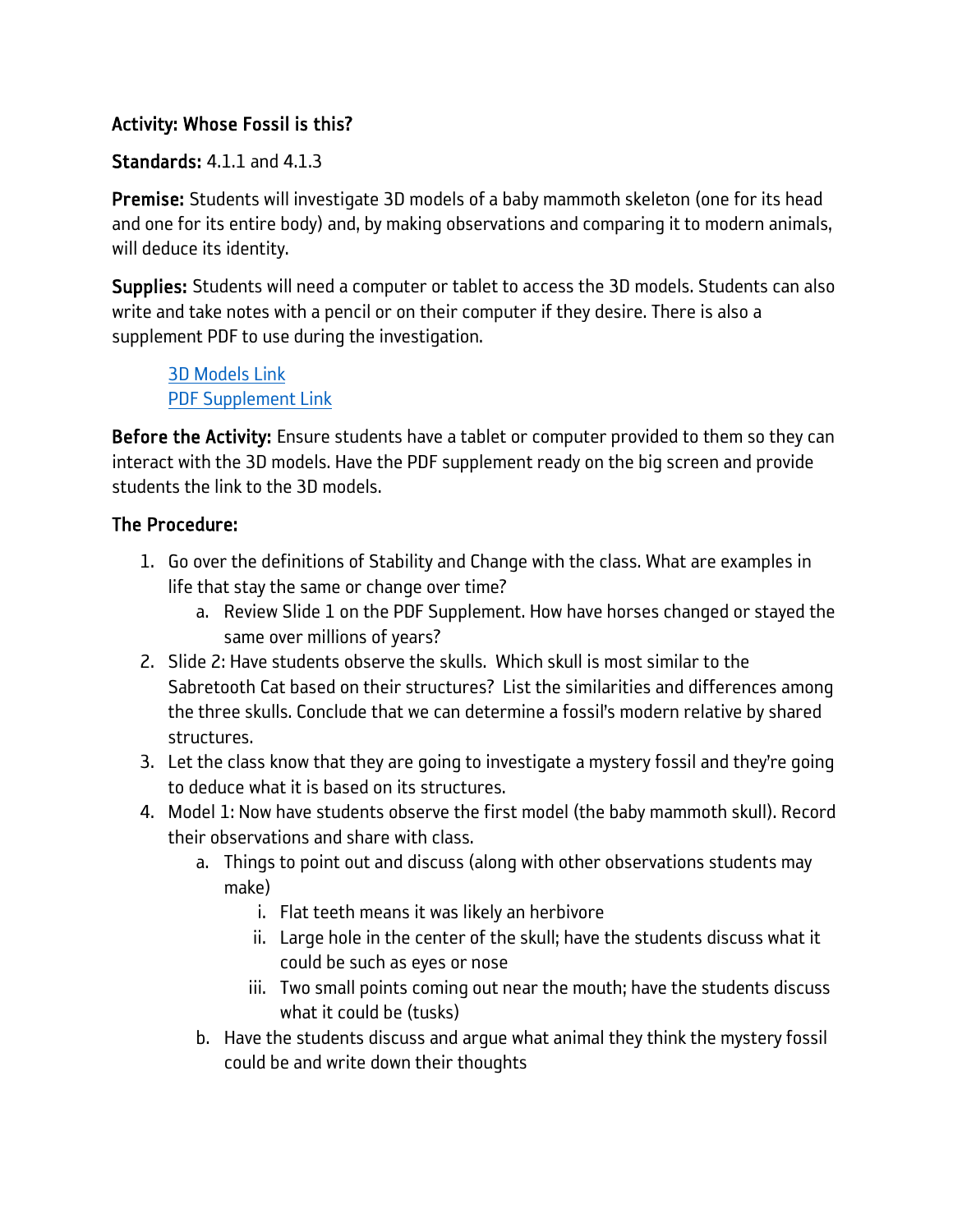## Activity: Whose Fossil is this?

## Standards: 4.1.1 and 4.1.3

Premise: Students will investigate 3D models of a baby mammoth skeleton (one for its head and one for its entire body) and, by making observations and comparing it to modern animals, will deduce its identity.

Supplies: Students will need a computer or tablet to access the 3D models. Students can also write and take notes with a pencil or on their computer if they desire. There is also a supplement PDF to use during the investigation.

[3D Models Link](https://nhmu.utah.edu/educators/museum-on-move/live-classes/fossil-student) [PDF Supplement Link](https://nhmu.utah.edu/sites/default/files/attachments/Mystery%20Fossil%20Class%20Images.pdf#overlay-context=educators/museum-on-move)

Before the Activity: Ensure students have a tablet or computer provided to them so they can interact with the 3D models. Have the PDF supplement ready on the big screen and provide students the link to the 3D models.

## The Procedure:

- 1. Go over the definitions of Stability and Change with the class. What are examples in life that stay the same or change over time?
	- a. Review Slide 1 on the PDF Supplement. How have horses changed or stayed the same over millions of years?
- 2. Slide 2: Have students observe the skulls. Which skull is most similar to the Sabretooth Cat based on their structures? List the similarities and differences among the three skulls. Conclude that we can determine a fossil's modern relative by shared structures.
- 3. Let the class know that they are going to investigate a mystery fossil and they're going to deduce what it is based on its structures.
- 4. Model 1: Now have students observe the first model (the baby mammoth skull). Record their observations and share with class.
	- a. Things to point out and discuss (along with other observations students may make)
		- i. Flat teeth means it was likely an herbivore
		- ii. Large hole in the center of the skull; have the students discuss what it could be such as eyes or nose
		- iii. Two small points coming out near the mouth; have the students discuss what it could be (tusks)
	- b. Have the students discuss and argue what animal they think the mystery fossil could be and write down their thoughts